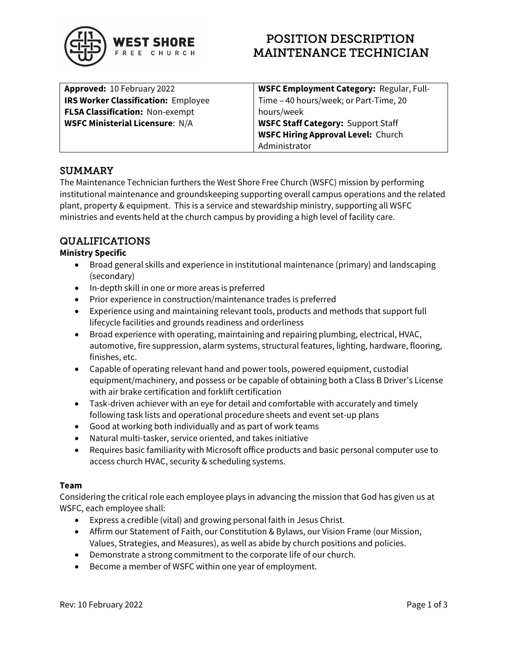

# POSITION DESCRIPTION MAINTENANCE TECHNICIAN

| Approved: 10 February 2022                 | <b>WSFC Employment Category: Regular, Full-</b> |
|--------------------------------------------|-------------------------------------------------|
| <b>IRS Worker Classification: Employee</b> | Time - 40 hours/week; or Part-Time, 20          |
| <b>FLSA Classification: Non-exempt</b>     | hours/week                                      |
| <b>WSFC Ministerial Licensure: N/A</b>     | <b>WSFC Staff Category: Support Staff</b>       |
|                                            | <b>WSFC Hiring Approval Level: Church</b>       |
|                                            | Administrator                                   |

### **SUMMARY**

The Maintenance Technician furthers the West Shore Free Church (WSFC) mission by performing institutional maintenance and groundskeeping supporting overall campus operations and the related plant, property & equipment. This is a service and stewardship ministry, supporting all WSFC ministries and events held at the church campus by providing a high level of facility care.

## QUALIFICATIONS

#### Ministry Specific

- Broad general skills and experience in institutional maintenance (primary) and landscaping (secondary)
- In-depth skill in one or more areas is preferred
- Prior experience in construction/maintenance trades is preferred
- Experience using and maintaining relevant tools, products and methods that support full lifecycle facilities and grounds readiness and orderliness
- Broad experience with operating, maintaining and repairing plumbing, electrical, HVAC, automotive, fire suppression, alarm systems, structural features, lighting, hardware, flooring, finishes, etc.
- Capable of operating relevant hand and power tools, powered equipment, custodial equipment/machinery, and possess or be capable of obtaining both a Class B Driver's License with air brake certification and forklift certification
- Task-driven achiever with an eye for detail and comfortable with accurately and timely following task lists and operational procedure sheets and event set-up plans
- Good at working both individually and as part of work teams
- Natural multi-tasker, service oriented, and takes initiative
- Requires basic familiarity with Microsoft office products and basic personal computer use to access church HVAC, security & scheduling systems.

#### Team

Considering the critical role each employee plays in advancing the mission that God has given us at WSFC, each employee shall:

- Express a credible (vital) and growing personal faith in Jesus Christ.
- Affirm our Statement of Faith, our Constitution & Bylaws, our Vision Frame (our Mission, Values, Strategies, and Measures), as well as abide by church positions and policies.
- Demonstrate a strong commitment to the corporate life of our church.
- Become a member of WSFC within one year of employment.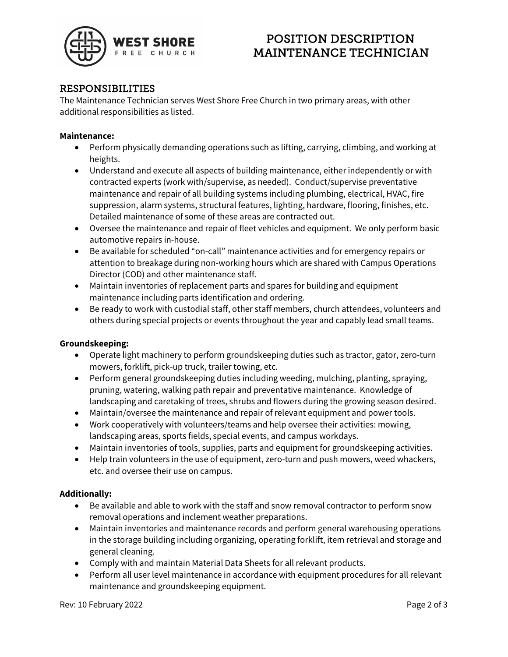

## POSITION DESCRIPTION MAINTENANCE TECHNICIAN

### RESPONSIBILITIES

The Maintenance Technician serves West Shore Free Church in two primary areas, with other additional responsibilities as listed.

#### Maintenance:

- Perform physically demanding operations such as lifting, carrying, climbing, and working at heights.
- Understand and execute all aspects of building maintenance, either independently or with contracted experts (work with/supervise, as needed). Conduct/supervise preventative maintenance and repair of all building systems including plumbing, electrical, HVAC, fire suppression, alarm systems, structural features, lighting, hardware, flooring, finishes, etc. Detailed maintenance of some of these areas are contracted out.
- Oversee the maintenance and repair of fleet vehicles and equipment. We only perform basic automotive repairs in-house.
- Be available for scheduled "on-call" maintenance activities and for emergency repairs or attention to breakage during non-working hours which are shared with Campus Operations Director (COD) and other maintenance staff.
- Maintain inventories of replacement parts and spares for building and equipment maintenance including parts identification and ordering.
- Be ready to work with custodial staff, other staff members, church attendees, volunteers and others during special projects or events throughout the year and capably lead small teams.

#### Groundskeeping:

- Operate light machinery to perform groundskeeping duties such as tractor, gator, zero-turn mowers, forklift, pick-up truck, trailer towing, etc.
- Perform general groundskeeping duties including weeding, mulching, planting, spraying, pruning, watering, walking path repair and preventative maintenance. Knowledge of landscaping and caretaking of trees, shrubs and flowers during the growing season desired.
- Maintain/oversee the maintenance and repair of relevant equipment and power tools.
- Work cooperatively with volunteers/teams and help oversee their activities: mowing, landscaping areas, sports fields, special events, and campus workdays.
- Maintain inventories of tools, supplies, parts and equipment for groundskeeping activities.
- Help train volunteers in the use of equipment, zero-turn and push mowers, weed whackers, etc. and oversee their use on campus.

#### Additionally:

- Be available and able to work with the staff and snow removal contractor to perform snow removal operations and inclement weather preparations.
- Maintain inventories and maintenance records and perform general warehousing operations in the storage building including organizing, operating forklift, item retrieval and storage and general cleaning.
- Comply with and maintain Material Data Sheets for all relevant products.
- Perform all user level maintenance in accordance with equipment procedures for all relevant maintenance and groundskeeping equipment.